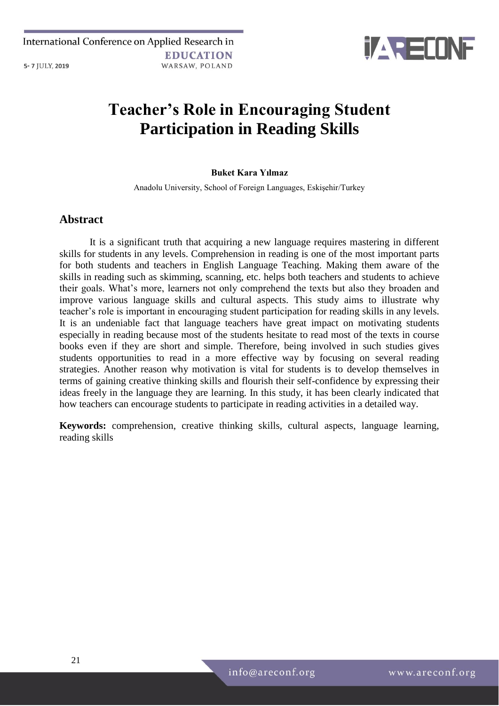

# **Teacher's Role in Encouraging Student Participation in Reading Skills**

### **Buket Kara Yılmaz**

Anadolu University, School of Foreign Languages, Eskişehir/Turkey

# **Abstract**

It is a significant truth that acquiring a new language requires mastering in different skills for students in any levels. Comprehension in reading is one of the most important parts for both students and teachers in English Language Teaching. Making them aware of the skills in reading such as skimming, scanning, etc. helps both teachers and students to achieve their goals. What's more, learners not only comprehend the texts but also they broaden and improve various language skills and cultural aspects. This study aims to illustrate why teacher's role is important in encouraging student participation for reading skills in any levels. It is an undeniable fact that language teachers have great impact on motivating students especially in reading because most of the students hesitate to read most of the texts in course books even if they are short and simple. Therefore, being involved in such studies gives students opportunities to read in a more effective way by focusing on several reading strategies. Another reason why motivation is vital for students is to develop themselves in terms of gaining creative thinking skills and flourish their self-confidence by expressing their ideas freely in the language they are learning. In this study, it has been clearly indicated that how teachers can encourage students to participate in reading activities in a detailed way.

**Keywords:** comprehension, creative thinking skills, cultural aspects, language learning, reading skills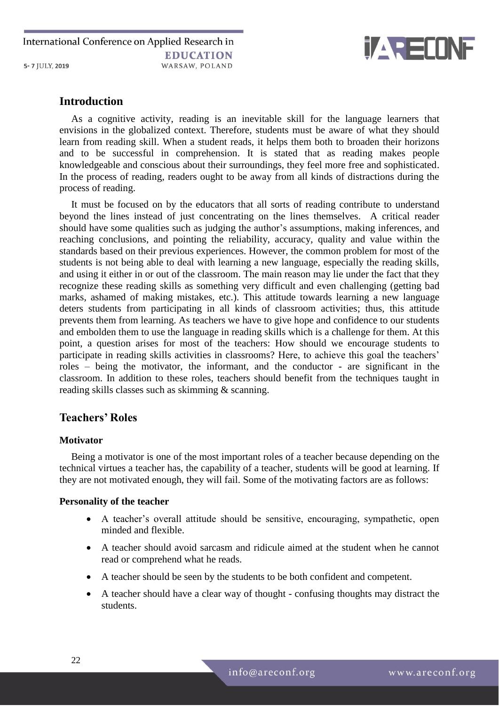International Conference on Applied Research in **EDUCATION** 5-7 JULY, 2019 WARSAW, POLAND



# **Introduction**

As a cognitive activity, reading is an inevitable skill for the language learners that envisions in the globalized context. Therefore, students must be aware of what they should learn from reading skill. When a student reads, it helps them both to broaden their horizons and to be successful in comprehension. It is stated that as reading makes people knowledgeable and conscious about their surroundings, they feel more free and sophisticated. In the process of reading, readers ought to be away from all kinds of distractions during the process of reading.

It must be focused on by the educators that all sorts of reading contribute to understand beyond the lines instead of just concentrating on the lines themselves. A critical reader should have some qualities such as judging the author's assumptions, making inferences, and reaching conclusions, and pointing the reliability, accuracy, quality and value within the standards based on their previous experiences. However, the common problem for most of the students is not being able to deal with learning a new language, especially the reading skills, and using it either in or out of the classroom. The main reason may lie under the fact that they recognize these reading skills as something very difficult and even challenging (getting bad marks, ashamed of making mistakes, etc.). This attitude towards learning a new language deters students from participating in all kinds of classroom activities; thus, this attitude prevents them from learning. As teachers we have to give hope and confidence to our students and embolden them to use the language in reading skills which is a challenge for them. At this point, a question arises for most of the teachers: How should we encourage students to participate in reading skills activities in classrooms? Here, to achieve this goal the teachers' roles – being the motivator, the informant, and the conductor - are significant in the classroom. In addition to these roles, teachers should benefit from the techniques taught in reading skills classes such as skimming & scanning.

# **Teachers' Roles**

## **Motivator**

Being a motivator is one of the most important roles of a teacher because depending on the technical virtues a teacher has, the capability of a teacher, students will be good at learning. If they are not motivated enough, they will fail. Some of the motivating factors are as follows:

### **Personality of the teacher**

- A teacher's overall attitude should be sensitive, encouraging, sympathetic, open minded and flexible.
- A teacher should avoid sarcasm and ridicule aimed at the student when he cannot read or comprehend what he reads.
- A teacher should be seen by the students to be both confident and competent.
- A teacher should have a clear way of thought confusing thoughts may distract the students.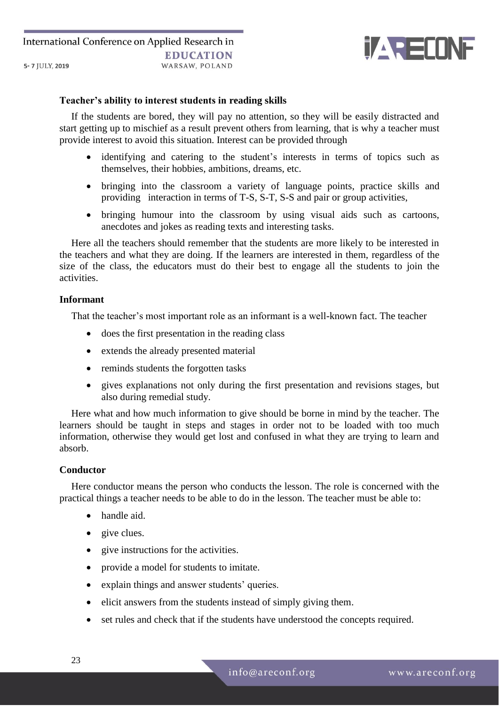

### **Teacher's ability to interest students in reading skills**

If the students are bored, they will pay no attention, so they will be easily distracted and start getting up to mischief as a result prevent others from learning, that is why a teacher must provide interest to avoid this situation. Interest can be provided through

- identifying and catering to the student's interests in terms of topics such as themselves, their hobbies, ambitions, dreams, etc.
- bringing into the classroom a variety of language points, practice skills and providing interaction in terms of T-S, S-T, S-S and pair or group activities,
- bringing humour into the classroom by using visual aids such as cartoons, anecdotes and jokes as reading texts and interesting tasks.

Here all the teachers should remember that the students are more likely to be interested in the teachers and what they are doing. If the learners are interested in them, regardless of the size of the class, the educators must do their best to engage all the students to join the activities.

### **Informant**

That the teacher's most important role as an informant is a well-known fact. The teacher

- does the first presentation in the reading class
- extends the already presented material
- reminds students the forgotten tasks
- gives explanations not only during the first presentation and revisions stages, but also during remedial study.

Here what and how much information to give should be borne in mind by the teacher. The learners should be taught in steps and stages in order not to be loaded with too much information, otherwise they would get lost and confused in what they are trying to learn and absorb.

#### **Conductor**

Here conductor means the person who conducts the lesson. The role is concerned with the practical things a teacher needs to be able to do in the lesson. The teacher must be able to:

- handle aid.
- give clues.
- give instructions for the activities.
- provide a model for students to imitate.
- explain things and answer students' queries.
- elicit answers from the students instead of simply giving them.
- set rules and check that if the students have understood the concepts required.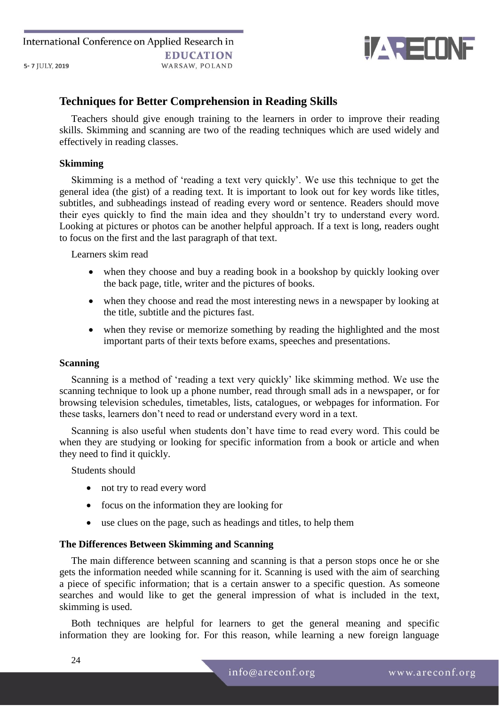

# **Techniques for Better Comprehension in Reading Skills**

Teachers should give enough training to the learners in order to improve their reading skills. Skimming and scanning are two of the reading techniques which are used widely and effectively in reading classes.

### **Skimming**

Skimming is a method of 'reading a text very quickly'. We use this technique to get the general idea (the gist) of a reading text. It is important to look out for key words like titles, subtitles, and subheadings instead of reading every word or sentence. Readers should move their eyes quickly to find the main idea and they shouldn't try to understand every word. Looking at pictures or photos can be another helpful approach. If a text is long, readers ought to focus on the first and the last paragraph of that text.

Learners skim read

- when they choose and buy a reading book in a bookshop by quickly looking over the back page, title, writer and the pictures of books.
- when they choose and read the most interesting news in a newspaper by looking at the title, subtitle and the pictures fast.
- when they revise or memorize something by reading the highlighted and the most important parts of their texts before exams, speeches and presentations.

## **Scanning**

Scanning is a method of 'reading a text very quickly' like skimming method. We use the scanning technique to look up a phone number, read through small ads in a newspaper, or for browsing television schedules, timetables, lists, catalogues, or webpages for information. For these tasks, learners don't need to read or understand every word in a text.

Scanning is also useful when students don't have time to read every word. This could be when they are studying or looking for specific information from a book or article and when they need to find it quickly.

Students should

- not try to read every word
- focus on the information they are looking for
- use clues on the page, such as headings and titles, to help them

### **The Differences Between Skimming and Scanning**

The main difference between scanning and scanning is that a person stops once he or she gets the information needed while scanning for it. Scanning is used with the aim of searching a piece of specific information; that is a certain answer to a specific question. As someone searches and would like to get the general impression of what is included in the text, skimming is used.

Both techniques are helpful for learners to get the general meaning and specific information they are looking for. For this reason, while learning a new foreign language